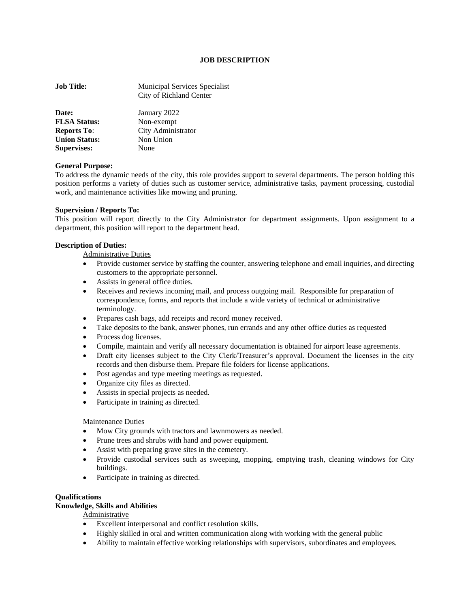#### **JOB DESCRIPTION**

| <b>Job Title:</b>    | Municipal Services Specialist<br>City of Richland Center |
|----------------------|----------------------------------------------------------|
| Date:                | January 2022                                             |
| <b>FLSA Status:</b>  | Non-exempt                                               |
| <b>Reports To:</b>   | City Administrator                                       |
| <b>Union Status:</b> | Non Union                                                |
| <b>Supervises:</b>   | None                                                     |

#### **General Purpose:**

To address the dynamic needs of the city, this role provides support to several departments. The person holding this position performs a variety of duties such as customer service, administrative tasks, payment processing, custodial work, and maintenance activities like mowing and pruning.

#### **Supervision / Reports To:**

This position will report directly to the City Administrator for department assignments. Upon assignment to a department, this position will report to the department head.

#### **Description of Duties:**

Administrative Duties

- Provide customer service by staffing the counter, answering telephone and email inquiries, and directing customers to the appropriate personnel.
- Assists in general office duties.
- Receives and reviews incoming mail, and process outgoing mail. Responsible for preparation of correspondence, forms, and reports that include a wide variety of technical or administrative terminology.
- Prepares cash bags, add receipts and record money received.
- Take deposits to the bank, answer phones, run errands and any other office duties as requested
- Process dog licenses.
- Compile, maintain and verify all necessary documentation is obtained for airport lease agreements.
- Draft city licenses subject to the City Clerk/Treasurer's approval. Document the licenses in the city records and then disburse them. Prepare file folders for license applications.
- Post agendas and type meeting meetings as requested.
- Organize city files as directed.
- Assists in special projects as needed.
- Participate in training as directed.

#### Maintenance Duties

- Mow City grounds with tractors and lawnmowers as needed.
- Prune trees and shrubs with hand and power equipment.
- Assist with preparing grave sites in the cemetery.
- Provide custodial services such as sweeping, mopping, emptying trash, cleaning windows for City buildings.
- Participate in training as directed.

## **Qualifications**

## **Knowledge, Skills and Abilities**

Administrative

- Excellent interpersonal and conflict resolution skills.
- Highly skilled in oral and written communication along with working with the general public
- Ability to maintain effective working relationships with supervisors, subordinates and employees.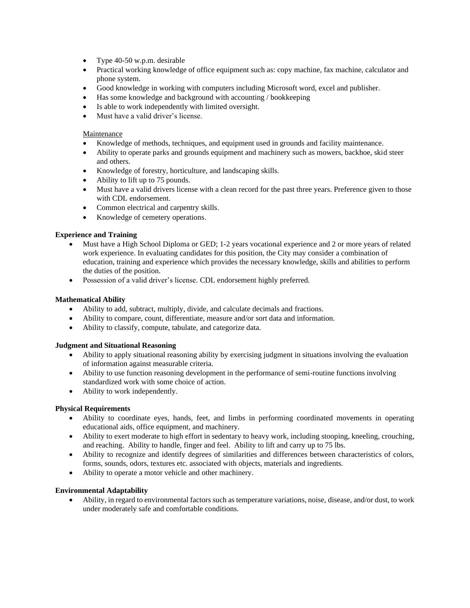- Type 40-50 w.p.m. desirable
- Practical working knowledge of office equipment such as: copy machine, fax machine, calculator and phone system.
- Good knowledge in working with computers including Microsoft word, excel and publisher.
- Has some knowledge and background with accounting / bookkeeping
- Is able to work independently with limited oversight.
- Must have a valid driver's license.

## Maintenance

- Knowledge of methods, techniques, and equipment used in grounds and facility maintenance.
- Ability to operate parks and grounds equipment and machinery such as mowers, backhoe, skid steer and others.
- Knowledge of forestry, horticulture, and landscaping skills.
- Ability to lift up to 75 pounds.
- Must have a valid drivers license with a clean record for the past three years. Preference given to those with CDL endorsement.
- Common electrical and carpentry skills.
- Knowledge of cemetery operations.

# **Experience and Training**

- Must have a High School Diploma or GED; 1-2 years vocational experience and 2 or more years of related work experience. In evaluating candidates for this position, the City may consider a combination of education, training and experience which provides the necessary knowledge, skills and abilities to perform the duties of the position.
- Possession of a valid driver's license. CDL endorsement highly preferred.

# **Mathematical Ability**

- Ability to add, subtract, multiply, divide, and calculate decimals and fractions.
- Ability to compare, count, differentiate, measure and/or sort data and information.
- Ability to classify, compute, tabulate, and categorize data.

## **Judgment and Situational Reasoning**

- Ability to apply situational reasoning ability by exercising judgment in situations involving the evaluation of information against measurable criteria.
- Ability to use function reasoning development in the performance of semi-routine functions involving standardized work with some choice of action.
- Ability to work independently.

## **Physical Requirements**

- Ability to coordinate eyes, hands, feet, and limbs in performing coordinated movements in operating educational aids, office equipment, and machinery.
- Ability to exert moderate to high effort in sedentary to heavy work, including stooping, kneeling, crouching, and reaching. Ability to handle, finger and feel. Ability to lift and carry up to 75 lbs.
- Ability to recognize and identify degrees of similarities and differences between characteristics of colors, forms, sounds, odors, textures etc. associated with objects, materials and ingredients.
- Ability to operate a motor vehicle and other machinery.

## **Environmental Adaptability**

• Ability, in regard to environmental factors such as temperature variations, noise, disease, and/or dust, to work under moderately safe and comfortable conditions.